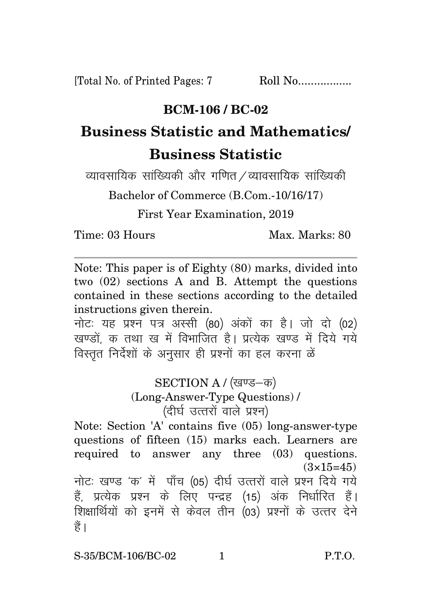[Total No. of Printed Pages: 7 Roll No.................

## **BCM-106 / BC-02**

## **Business Statistic and Mathematics/ Business Statistic**

व्यावसायिक सांख्यिकी और गणित / व्यावसायिक सांख्यिकी

Bachelor of Commerce (B.Com.-10/16/17)

First Year Examination, 2019

Time: 03 Hours Max. Marks: 80

Note: This paper is of Eighty (80) marks, divided into two (02) sections A and B. Attempt the questions contained in these sections according to the detailed instructions given therein.

नोट: यह प्रश्न पत्र अस्सी (80) अंकों का है। जो दो (02) खण्डों क तथा ख में विभाजित है। प्रत्येक खण्ड में दिये गये विस्तृत निर्देशों के अनुसार ही प्रश्नों का हल करना ळें

## SECTION A / (खण्ड-क) (Long-Answer-Type Questions) / (दीर्घ उत्तरों वाले प्रश्न)

Note: Section 'A' contains five (05) long-answer-type questions of fifteen (15) marks each. Learners are required to answer any three (03) questions.  $(3\times15=45)$ नोटः खण्ड 'क' में पाँच (05) दीर्घ उत्तरों वाले प्रश्न दिये गये हैं. प्रत्येक प्रश्न के लिए पन्द्रह (15) अंक निर्धारित हैं। शिक्षार्थियों को इनमें से केवल तीन (03) प्रश्नों के उत्तर देने हैं।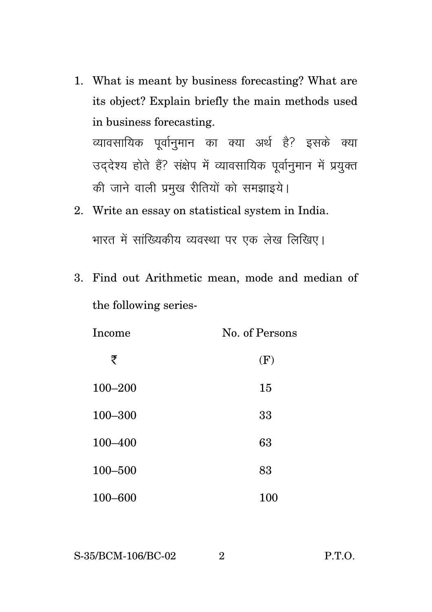- 1. What is meant by business forecasting? What are its object? Explain briefly the main methods used in business forecasting. व्यावसायिक पूर्वानुमान का क्या अर्थ है? इसके क्या उददेश्य होते हैं? संक्षेप में व्यावसायिक पूर्वानुमान में प्रयुक्त की जाने वाली प्रमुख रीतियों को समझाइये।
- 2. Write an essay on statistical system in India. भारत में सांख्यिकीय व्यवस्था पर एक लेख लिखिए।
- 3. Find out Arithmetic mean, mode and median of the following series-

| Income      | No. of Persons |
|-------------|----------------|
| ₹           | (F)            |
| $100 - 200$ | 15             |
| $100 - 300$ | 33             |
| 100-400     | 63             |
| $100 - 500$ | 83             |
| $100 - 600$ | 100            |

S-35/BCM-106/BC-02 2 P.T.O.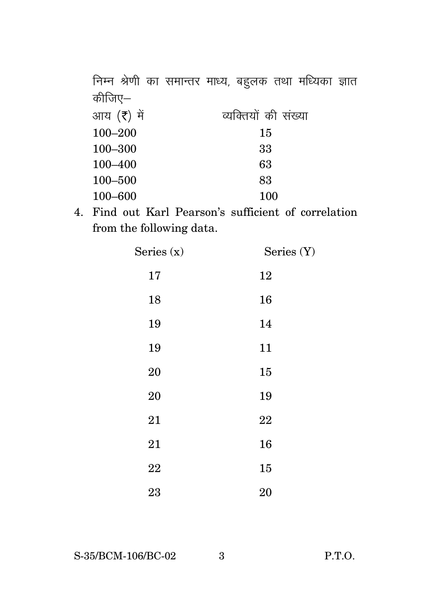निम्न श्रेणी का समान्तर माध्य, बहुलक तथा मध्यिका ज्ञात कीजिए— आय $(\bar{\tau})$  में  $\bar{\tau}$  व्यक्तियों की संख्या 100–200 15 100–300 33 100–400 63 100–500 83 100–600 100

4. Find out Karl Pearson's sufficient of correlation from the following data.

| Series (x) | Series (Y) |
|------------|------------|
| 17         | 12         |
| 18         | 16         |
| 19         | 14         |
| 19         | 11         |
| 20         | 15         |
| 20         | 19         |
| 21         | 22         |
| 21         | 16         |
| 22         | 15         |
| 23         | 20         |

S-35/BCM-106/BC-02 3 P.T.O.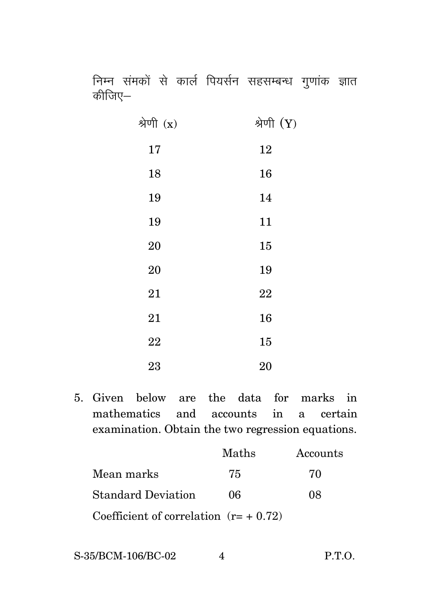निम्न संमकों से कार्ल पियर्सन सहसम्बन्ध गुणांक ज्ञात कीजिए—

| श्रेणी $(x)$ | श्रेणी $(Y)$ |
|--------------|--------------|
| 17           | 12           |
| 18           | 16           |
| 19           | 14           |
| 19           | 11           |
| <b>20</b>    | 15           |
| <b>20</b>    | 19           |
| 21           | 22           |
| 21           | 16           |
| $\bf 22$     | 15           |
| 23           | 20           |

5. Given below are the data for marks in mathematics and accounts in a certain examination. Obtain the two regression equations.

|                                        | Maths | Accounts |
|----------------------------------------|-------|----------|
| Mean marks                             | 75    | 70       |
| <b>Standard Deviation</b>              | 06    | 08       |
| Coefficient of correlation $(r=+0.72)$ |       |          |

S-35/BCM-106/BC-02 4 P.T.O.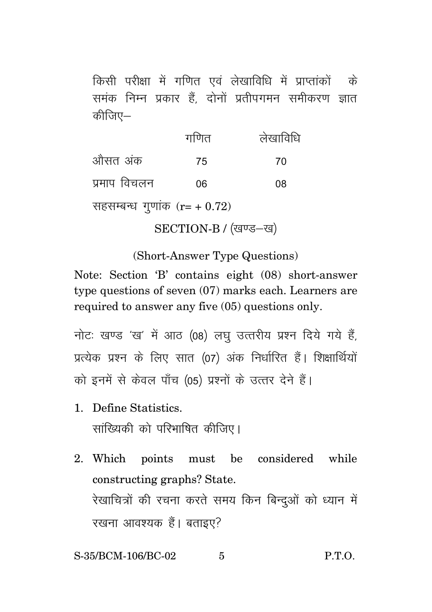किसी परीक्षा में गणित एवं लेखाविधि में प्राप्तांकों के समंक निम्न प्रकार हैं. दोनों प्रतीपगमन समीकरण ज्ञात कीजिए $-$ 

|                                  | गणित | लेखाविधि |
|----------------------------------|------|----------|
| औसत अंक                          | 75   | 70       |
| प्रमाप विचलन                     | 06   | 08       |
| सहसम्बन्ध गुणांक ( $r = +0.72$ ) |      |          |

SECTION-B / (खण्ड-ख)

(Short-Answer Type Questions)

Note: Section 'B' contains eight (08) short-answer type questions of seven (07) marks each. Learners are required to answer any five (05) questions only.

नोटः खण्ड 'ख' में आठ (08) लघु उत्तरीय प्रश्न दिये गये हैं, प्रत्येक प्रश्न के लिए सात (07) अंक निर्धारित हैं। शिक्षार्थियों को इनमें से केवल पाँच (05) प्रश्नों के उत्तर देने हैं।

1. Define Statistics.

सांख्यिकी को परिभाषित कीजिए।

2. Which points must be considered while constructing graphs? State. रेखाचित्रों की रचना करते समय किन बिन्दुओं को ध्यान में रखना आवश्यक हैं। बताइए?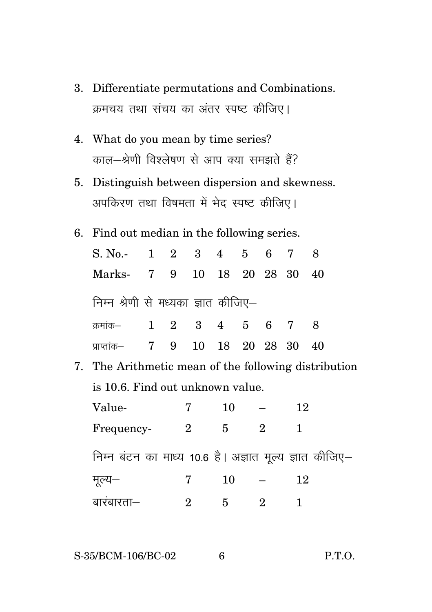- 3. Differentiate permutations and Combinations. क्रमचय तथा संचय का अंतर स्पष्ट कीजिए।
- 4. What do you mean by time series? काल-श्रेणी विश्लेषण से आप क्या समझते हैं?
- 5. Distinguish between dispersion and skewness. अपकिरण तथा विषमता में भेद स्पष्ट कीजिए।
- 6. Find out median in the following series.

| S. No. 1 2 3 4 5 6 7 8              |  |                |  |    |  |
|-------------------------------------|--|----------------|--|----|--|
| Marks- 7 9 10 18 20 28 30 40        |  |                |  |    |  |
| निम्न श्रेणी से मध्यका ज्ञात कीजिए– |  |                |  |    |  |
| क्रमांक- 1 2 3 4 5 6 7 8            |  |                |  |    |  |
| प्राप्तांक– 7 9                     |  | 10 18 20 28 30 |  | 40 |  |

7. The Arithmetic mean of the following distribution is 10.6. Find out unknown value.

| Value-                                                 |                | 10 |   | 12 |  |
|--------------------------------------------------------|----------------|----|---|----|--|
| Frequency-                                             | $\overline{2}$ | 5  | 2 |    |  |
| निम्न बंटन का माध्य 10.6 है। अज्ञात मूल्य ज्ञात कीजिए– |                |    |   |    |  |
| मूल्य—                                                 |                | 10 |   | 12 |  |
| बारबारता—                                              | 2              | 5  | 2 |    |  |